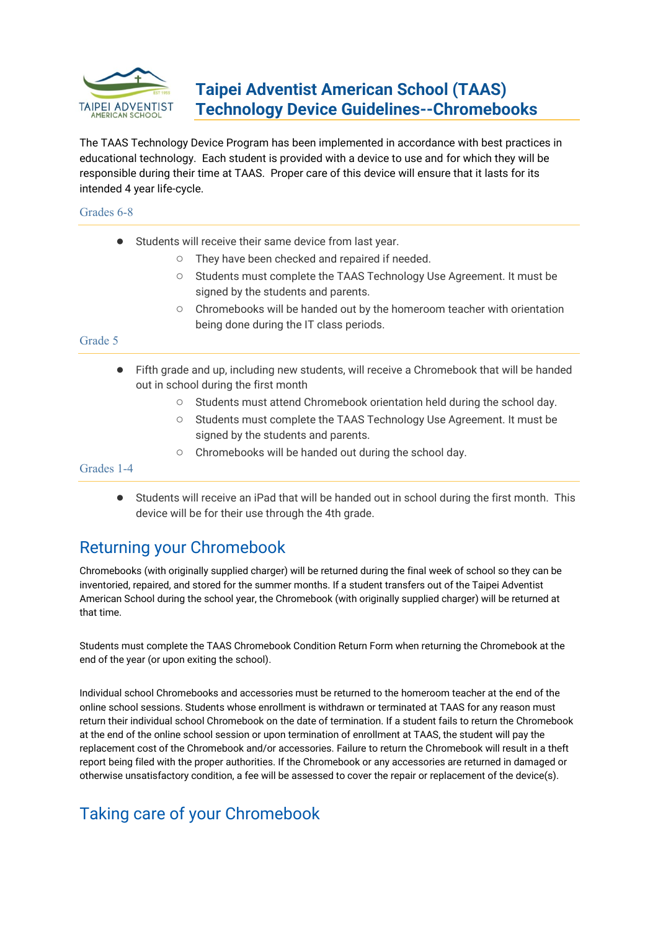

# **Taipei Adventist American School (TAAS) Technology Device Guidelines--Chromebooks**

The TAAS Technology Device Program has been implemented in accordance with best practices in educational technology. Each student is provided with a device to use and for which they will be responsible during their time at TAAS. Proper care of this device will ensure that it lasts for its intended 4 year life-cycle.

### Grades 6-8

- Students will receive their same device from last year.
	- They have been checked and repaired if needed.
	- Students must complete the TAAS Technology Use Agreement. It must be signed by the students and parents.
	- Chromebooks will be handed out by the homeroom teacher with orientation being done during the IT class periods.

#### Grade 5

- Fifth grade and up, including new students, will receive a Chromebook that will be handed out in school during the first month
	- Students must attend Chromebook orientation held during the school day.
	- Students must complete the TAAS Technology Use Agreement. It must be signed by the students and parents.
	- Chromebooks will be handed out during the school day.

Grades 1-4

● Students will receive an iPad that will be handed out in school during the first month. This device will be for their use through the 4th grade.

# Returning your Chromebook

Chromebooks (with originally supplied charger) will be returned during the final week of school so they can be inventoried, repaired, and stored for the summer months. If a student transfers out of the Taipei Adventist American School during the school year, the Chromebook (with originally supplied charger) will be returned at that time.

Students must complete the TAAS Chromebook Condition Return Form when returning the Chromebook at the end of the year (or upon exiting the school).

Individual school Chromebooks and accessories must be returned to the homeroom teacher at the end of the online school sessions. Students whose enrollment is withdrawn or terminated at TAAS for any reason must return their individual school Chromebook on the date of termination. If a student fails to return the Chromebook at the end of the online school session or upon termination of enrollment at TAAS, the student will pay the replacement cost of the Chromebook and/or accessories. Failure to return the Chromebook will result in a theft report being filed with the proper authorities. If the Chromebook or any accessories are returned in damaged or otherwise unsatisfactory condition, a fee will be assessed to cover the repair or replacement of the device(s).

# Taking care of your Chromebook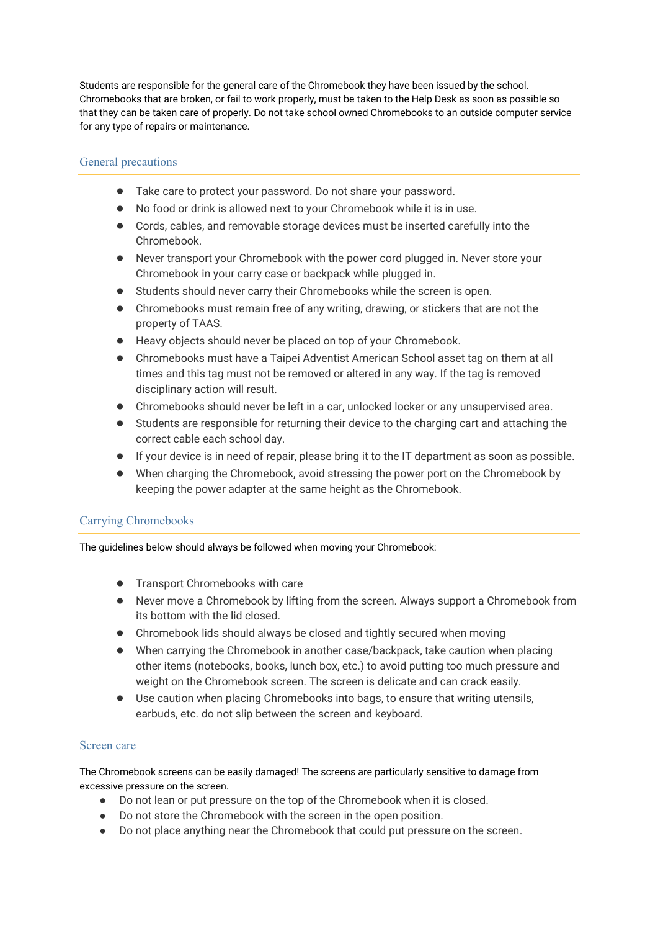Students are responsible for the general care of the Chromebook they have been issued by the school. Chromebooks that are broken, or fail to work properly, must be taken to the Help Desk as soon as possible so that they can be taken care of properly. Do not take school owned Chromebooks to an outside computer service for any type of repairs or maintenance.

### General precautions

- Take care to protect your password. Do not share your password.
- No food or drink is allowed next to your Chromebook while it is in use.
- Cords, cables, and removable storage devices must be inserted carefully into the Chromebook.
- Never transport your Chromebook with the power cord plugged in. Never store your Chromebook in your carry case or backpack while plugged in.
- Students should never carry their Chromebooks while the screen is open.
- Chromebooks must remain free of any writing, drawing, or stickers that are not the property of TAAS.
- Heavy objects should never be placed on top of your Chromebook.
- Chromebooks must have a Taipei Adventist American School asset tag on them at all times and this tag must not be removed or altered in any way. If the tag is removed disciplinary action will result.
- Chromebooks should never be left in a car, unlocked locker or any unsupervised area.
- Students are responsible for returning their device to the charging cart and attaching the correct cable each school day.
- If your device is in need of repair, please bring it to the IT department as soon as possible.
- When charging the Chromebook, avoid stressing the power port on the Chromebook by keeping the power adapter at the same height as the Chromebook.

## Carrying Chromebooks

The guidelines below should always be followed when moving your Chromebook:

- Transport Chromebooks with care
- Never move a Chromebook by lifting from the screen. Always support a Chromebook from its bottom with the lid closed.
- Chromebook lids should always be closed and tightly secured when moving
- When carrying the Chromebook in another case/backpack, take caution when placing other items (notebooks, books, lunch box, etc.) to avoid putting too much pressure and weight on the Chromebook screen. The screen is delicate and can crack easily.
- Use caution when placing Chromebooks into bags, to ensure that writing utensils, earbuds, etc. do not slip between the screen and keyboard.

#### Screen care

The Chromebook screens can be easily damaged! The screens are particularly sensitive to damage from excessive pressure on the screen.

- Do not lean or put pressure on the top of the Chromebook when it is closed.
- Do not store the Chromebook with the screen in the open position.
- Do not place anything near the Chromebook that could put pressure on the screen.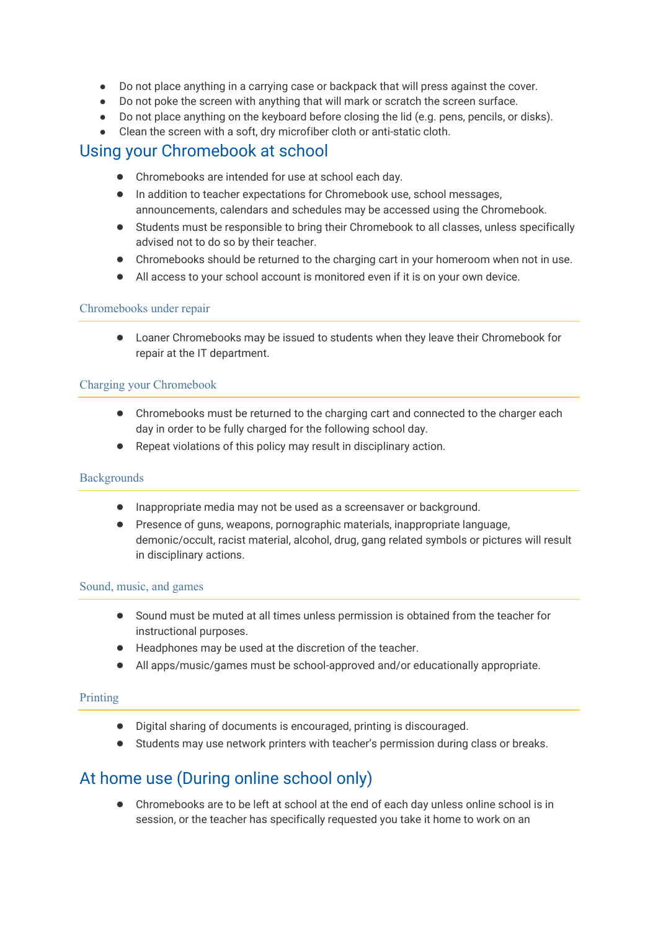- Do not place anything in a carrying case or backpack that will press against the cover.
- Do not poke the screen with anything that will mark or scratch the screen surface.
- Do not place anything on the keyboard before closing the lid (e.g. pens, pencils, or disks).
- Clean the screen with a soft, dry microfiber cloth or anti-static cloth.

## Using your Chromebook at school

- Chromebooks are intended for use at school each day.
- In addition to teacher expectations for Chromebook use, school messages, announcements, calendars and schedules may be accessed using the Chromebook.
- Students must be responsible to bring their Chromebook to all classes, unless specifically advised not to do so by their teacher.
- Chromebooks should be returned to the charging cart in your homeroom when not in use.
- All access to your school account is monitored even if it is on your own device.

### Chromebooks under repair

● Loaner Chromebooks may be issued to students when they leave their Chromebook for repair at the IT department.

### Charging your Chromebook

- Chromebooks must be returned to the charging cart and connected to the charger each day in order to be fully charged for the following school day.
- Repeat violations of this policy may result in disciplinary action.

#### **Backgrounds**

- Inappropriate media may not be used as a screensaver or background.
- Presence of guns, weapons, pornographic materials, inappropriate language, demonic/occult, racist material, alcohol, drug, gang related symbols or pictures will result in disciplinary actions.

#### Sound, music, and games

- Sound must be muted at all times unless permission is obtained from the teacher for instructional purposes.
- Headphones may be used at the discretion of the teacher.
- All apps/music/games must be school-approved and/or educationally appropriate.

#### Printing

- Digital sharing of documents is encouraged, printing is discouraged.
- Students may use network printers with teacher's permission during class or breaks.

# At home use (During online school only)

● Chromebooks are to be left at school at the end of each day unless online school is in session, or the teacher has specifically requested you take it home to work on an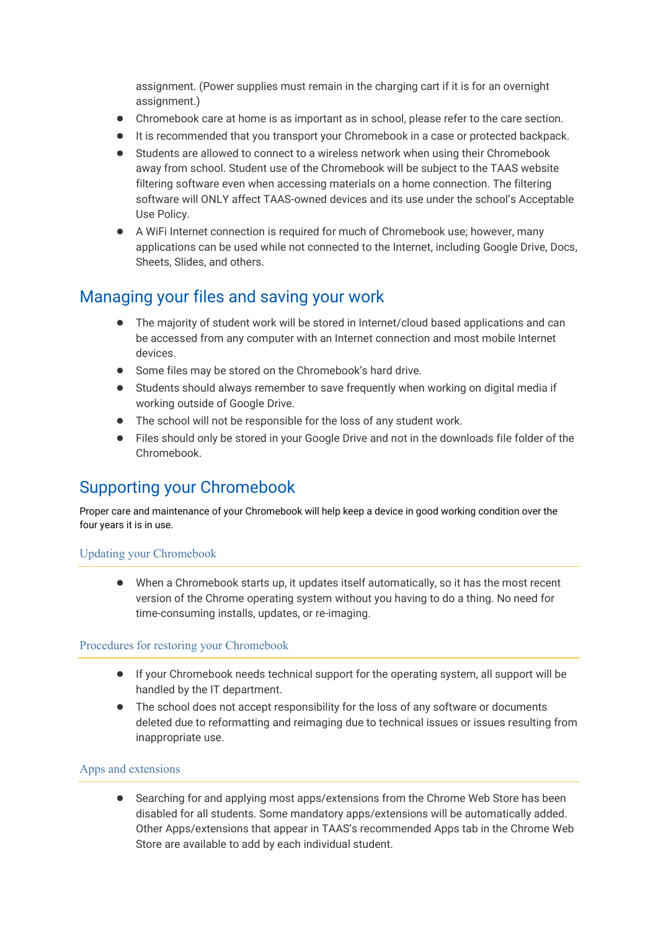assignment. (Power supplies must remain in the charging cart if it is for an overnight assignment.)

- Chromebook care at home is as important as in school, please refer to the care section.
- It is recommended that you transport your Chromebook in a case or protected backpack.
- Students are allowed to connect to a wireless network when using their Chromebook away from school. Student use of the Chromebook will be subject to the TAAS website filtering software even when accessing materials on a home connection. The filtering software will ONLY affect TAAS-owned devices and its use under the school's Acceptable Use Policy.
- A WiFi Internet connection is required for much of Chromebook use; however, many applications can be used while not connected to the Internet, including Google Drive, Docs, Sheets, Slides, and others.

## Managing your files and saving your work

- The majority of student work will be stored in Internet/cloud based applications and can be accessed from any computer with an Internet connection and most mobile Internet devices.
- Some files may be stored on the Chromebook's hard drive.
- Students should always remember to save frequently when working on digital media if working outside of Google Drive.
- The school will not be responsible for the loss of any student work.
- Files should only be stored in your Google Drive and not in the downloads file folder of the Chromebook.

# Supporting your Chromebook

Proper care and maintenance of your Chromebook will help keep a device in good working condition over the four years it is in use.

## Updating your Chromebook

● When a Chromebook starts up, it updates itself automatically, so it has the most recent version of the Chrome operating system without you having to do a thing. No need for time-consuming installs, updates, or re-imaging.

#### Procedures for restoring your Chromebook

- If your Chromebook needs technical support for the operating system, all support will be handled by the IT department.
- The school does not accept responsibility for the loss of any software or documents deleted due to reformatting and reimaging due to technical issues or issues resulting from inappropriate use.

## Apps and extensions

● Searching for and applying most apps/extensions from the Chrome Web Store has been disabled for all students. Some mandatory apps/extensions will be automatically added. Other Apps/extensions that appear in TAAS's recommended Apps tab in the Chrome Web Store are available to add by each individual student.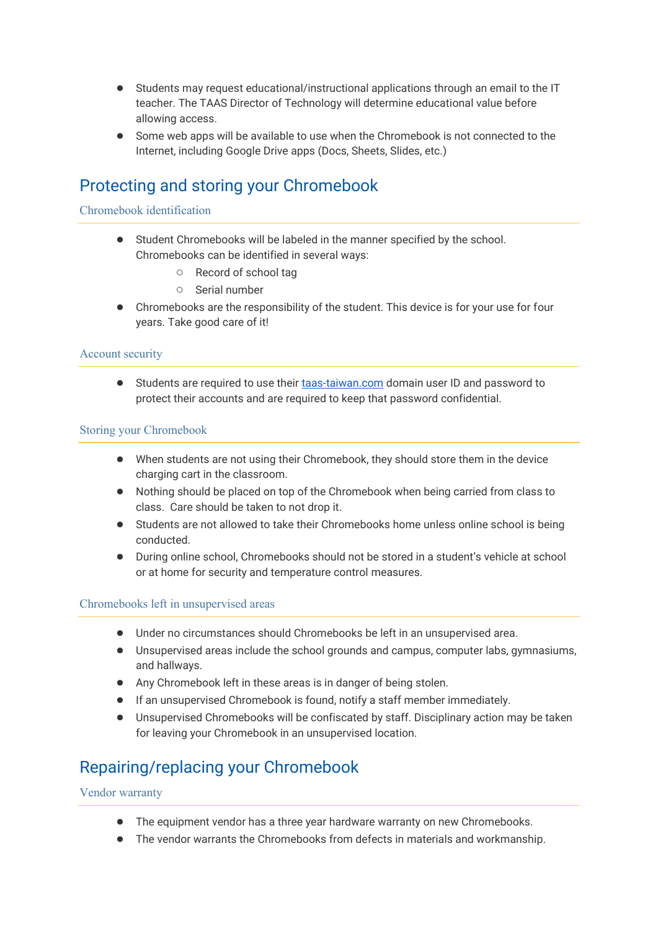- Students may request educational/instructional applications through an email to the IT teacher. The TAAS Director of Technology will determine educational value before allowing access.
- Some web apps will be available to use when the Chromebook is not connected to the Internet, including Google Drive apps (Docs, Sheets, Slides, etc.)

# Protecting and storing your Chromebook

### Chromebook identification

- Student Chromebooks will be labeled in the manner specified by the school. Chromebooks can be identified in several ways:
	- Record of school tag
	- Serial number
- Chromebooks are the responsibility of the student. This device is for your use for four years. Take good care of it!

### Account security

● Students are required to use their [taas-taiwan.com](http://taas-taiwan.com/) domain user ID and password to protect their accounts and are required to keep that password confidential.

### Storing your Chromebook

- When students are not using their Chromebook, they should store them in the device charging cart in the classroom.
- Nothing should be placed on top of the Chromebook when being carried from class to class. Care should be taken to not drop it.
- Students are not allowed to take their Chromebooks home unless online school is being conducted.
- During online school, Chromebooks should not be stored in a student's vehicle at school or at home for security and temperature control measures.

#### Chromebooks left in unsupervised areas

- Under no circumstances should Chromebooks be left in an unsupervised area.
- Unsupervised areas include the school grounds and campus, computer labs, gymnasiums, and hallways.
- Any Chromebook left in these areas is in danger of being stolen.
- If an unsupervised Chromebook is found, notify a staff member immediately.
- Unsupervised Chromebooks will be confiscated by staff. Disciplinary action may be taken for leaving your Chromebook in an unsupervised location.

# Repairing/replacing your Chromebook

#### Vendor warranty

- The equipment vendor has a three year hardware warranty on new Chromebooks.
- The vendor warrants the Chromebooks from defects in materials and workmanship.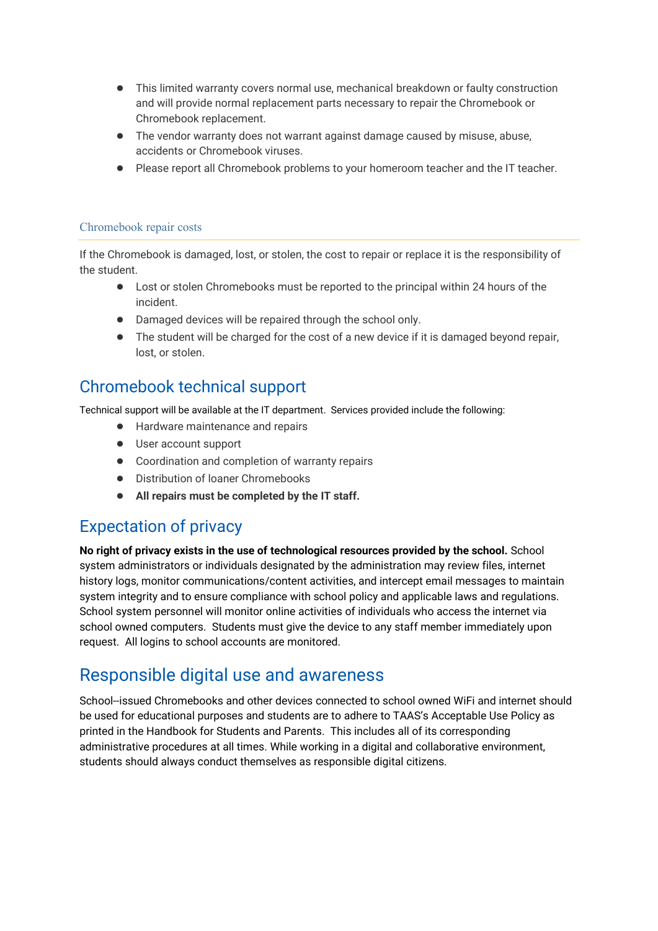- This limited warranty covers normal use, mechanical breakdown or faulty construction and will provide normal replacement parts necessary to repair the Chromebook or Chromebook replacement.
- The vendor warranty does not warrant against damage caused by misuse, abuse, accidents or Chromebook viruses.
- Please report all Chromebook problems to your homeroom teacher and the IT teacher.

### Chromebook repair costs

If the Chromebook is damaged, lost, or stolen, the cost to repair or replace it is the responsibility of the student.

- Lost or stolen Chromebooks must be reported to the principal within 24 hours of the incident.
- Damaged devices will be repaired through the school only.
- The student will be charged for the cost of a new device if it is damaged beyond repair, lost, or stolen.

## Chromebook technical support

Technical support will be available at the IT department. Services provided include the following:

- Hardware maintenance and repairs
- User account support
- Coordination and completion of warranty repairs
- Distribution of loaner Chromebooks
- **All repairs must be completed by the IT staff.**

# Expectation of privacy

**No right of privacy exists in the use of technological resources provided by the school.** School system administrators or individuals designated by the administration may review files, internet history logs, monitor communications/content activities, and intercept email messages to maintain system integrity and to ensure compliance with school policy and applicable laws and regulations. School system personnel will monitor online activities of individuals who access the internet via school owned computers. Students must give the device to any staff member immediately upon request. All logins to school accounts are monitored.

# Responsible digital use and awareness

School--issued Chromebooks and other devices connected to school owned WiFi and internet should be used for educational purposes and students are to adhere to TAAS's Acceptable Use Policy as printed in the Handbook for Students and Parents. This includes all of its corresponding administrative procedures at all times. While working in a digital and collaborative environment, students should always conduct themselves as responsible digital citizens.